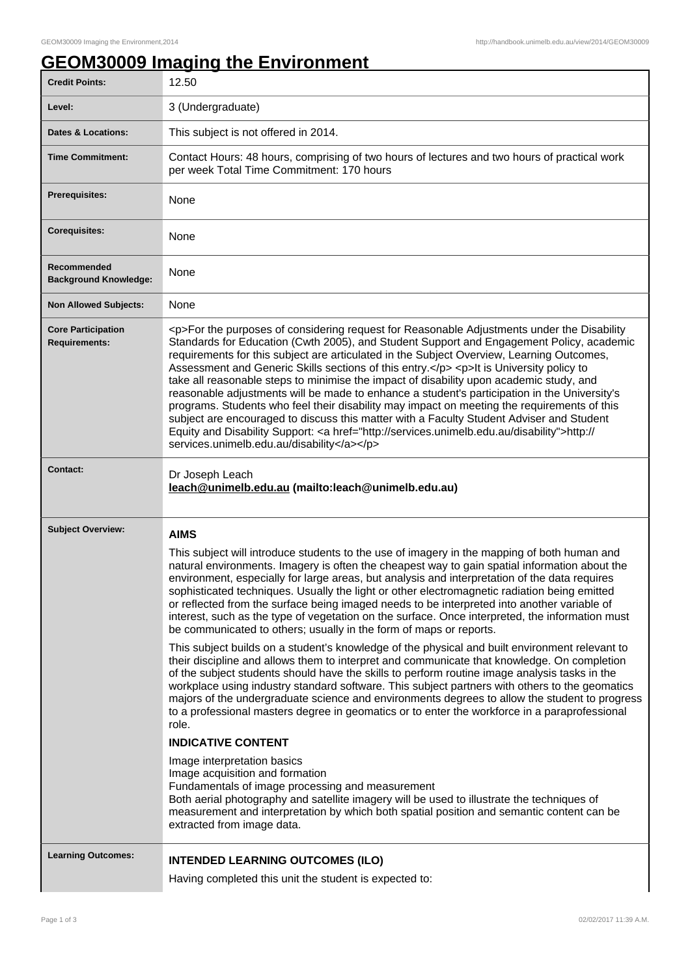## **GEOM30009 Imaging the Environment**

| <b>Credit Points:</b>                             | 12.50                                                                                                                                                                                                                                                                                                                                                                                                                                                                                                                                                                                                                                                                                                                                                                                                                                                                                                                                                                                                                                                                                                                                                                                                                                                                                                                                                                                                                                                                                                                                                                                                                                                                           |
|---------------------------------------------------|---------------------------------------------------------------------------------------------------------------------------------------------------------------------------------------------------------------------------------------------------------------------------------------------------------------------------------------------------------------------------------------------------------------------------------------------------------------------------------------------------------------------------------------------------------------------------------------------------------------------------------------------------------------------------------------------------------------------------------------------------------------------------------------------------------------------------------------------------------------------------------------------------------------------------------------------------------------------------------------------------------------------------------------------------------------------------------------------------------------------------------------------------------------------------------------------------------------------------------------------------------------------------------------------------------------------------------------------------------------------------------------------------------------------------------------------------------------------------------------------------------------------------------------------------------------------------------------------------------------------------------------------------------------------------------|
| Level:                                            | 3 (Undergraduate)                                                                                                                                                                                                                                                                                                                                                                                                                                                                                                                                                                                                                                                                                                                                                                                                                                                                                                                                                                                                                                                                                                                                                                                                                                                                                                                                                                                                                                                                                                                                                                                                                                                               |
| <b>Dates &amp; Locations:</b>                     | This subject is not offered in 2014.                                                                                                                                                                                                                                                                                                                                                                                                                                                                                                                                                                                                                                                                                                                                                                                                                                                                                                                                                                                                                                                                                                                                                                                                                                                                                                                                                                                                                                                                                                                                                                                                                                            |
| <b>Time Commitment:</b>                           | Contact Hours: 48 hours, comprising of two hours of lectures and two hours of practical work<br>per week Total Time Commitment: 170 hours                                                                                                                                                                                                                                                                                                                                                                                                                                                                                                                                                                                                                                                                                                                                                                                                                                                                                                                                                                                                                                                                                                                                                                                                                                                                                                                                                                                                                                                                                                                                       |
| <b>Prerequisites:</b>                             | None                                                                                                                                                                                                                                                                                                                                                                                                                                                                                                                                                                                                                                                                                                                                                                                                                                                                                                                                                                                                                                                                                                                                                                                                                                                                                                                                                                                                                                                                                                                                                                                                                                                                            |
| <b>Corequisites:</b>                              | None                                                                                                                                                                                                                                                                                                                                                                                                                                                                                                                                                                                                                                                                                                                                                                                                                                                                                                                                                                                                                                                                                                                                                                                                                                                                                                                                                                                                                                                                                                                                                                                                                                                                            |
| Recommended<br><b>Background Knowledge:</b>       | None                                                                                                                                                                                                                                                                                                                                                                                                                                                                                                                                                                                                                                                                                                                                                                                                                                                                                                                                                                                                                                                                                                                                                                                                                                                                                                                                                                                                                                                                                                                                                                                                                                                                            |
| <b>Non Allowed Subjects:</b>                      | None                                                                                                                                                                                                                                                                                                                                                                                                                                                                                                                                                                                                                                                                                                                                                                                                                                                                                                                                                                                                                                                                                                                                                                                                                                                                                                                                                                                                                                                                                                                                                                                                                                                                            |
| <b>Core Participation</b><br><b>Requirements:</b> | <p>For the purposes of considering request for Reasonable Adjustments under the Disability<br/>Standards for Education (Cwth 2005), and Student Support and Engagement Policy, academic<br/>requirements for this subject are articulated in the Subject Overview, Learning Outcomes,<br/>Assessment and Generic Skills sections of this entry.</p> <p>It is University policy to<br/>take all reasonable steps to minimise the impact of disability upon academic study, and<br/>reasonable adjustments will be made to enhance a student's participation in the University's<br/>programs. Students who feel their disability may impact on meeting the requirements of this<br/>subject are encouraged to discuss this matter with a Faculty Student Adviser and Student<br/>Equity and Disability Support: &lt; a href="http://services.unimelb.edu.au/disability"&gt;http://<br/>services.unimelb.edu.au/disability</p>                                                                                                                                                                                                                                                                                                                                                                                                                                                                                                                                                                                                                                                                                                                                                    |
| <b>Contact:</b>                                   | Dr Joseph Leach<br>leach@unimelb.edu.au (mailto:leach@unimelb.edu.au)                                                                                                                                                                                                                                                                                                                                                                                                                                                                                                                                                                                                                                                                                                                                                                                                                                                                                                                                                                                                                                                                                                                                                                                                                                                                                                                                                                                                                                                                                                                                                                                                           |
| <b>Subject Overview:</b>                          | <b>AIMS</b><br>This subject will introduce students to the use of imagery in the mapping of both human and<br>natural environments. Imagery is often the cheapest way to gain spatial information about the<br>environment, especially for large areas, but analysis and interpretation of the data requires<br>sophisticated techniques. Usually the light or other electromagnetic radiation being emitted<br>or reflected from the surface being imaged needs to be interpreted into another variable of<br>interest, such as the type of vegetation on the surface. Once interpreted, the information must<br>be communicated to others; usually in the form of maps or reports.<br>This subject builds on a student's knowledge of the physical and built environment relevant to<br>their discipline and allows them to interpret and communicate that knowledge. On completion<br>of the subject students should have the skills to perform routine image analysis tasks in the<br>workplace using industry standard software. This subject partners with others to the geomatics<br>majors of the undergraduate science and environments degrees to allow the student to progress<br>to a professional masters degree in geomatics or to enter the workforce in a paraprofessional<br>role.<br><b>INDICATIVE CONTENT</b><br>Image interpretation basics<br>Image acquisition and formation<br>Fundamentals of image processing and measurement<br>Both aerial photography and satellite imagery will be used to illustrate the techniques of<br>measurement and interpretation by which both spatial position and semantic content can be<br>extracted from image data. |
| <b>Learning Outcomes:</b>                         | <b>INTENDED LEARNING OUTCOMES (ILO)</b><br>Having completed this unit the student is expected to:                                                                                                                                                                                                                                                                                                                                                                                                                                                                                                                                                                                                                                                                                                                                                                                                                                                                                                                                                                                                                                                                                                                                                                                                                                                                                                                                                                                                                                                                                                                                                                               |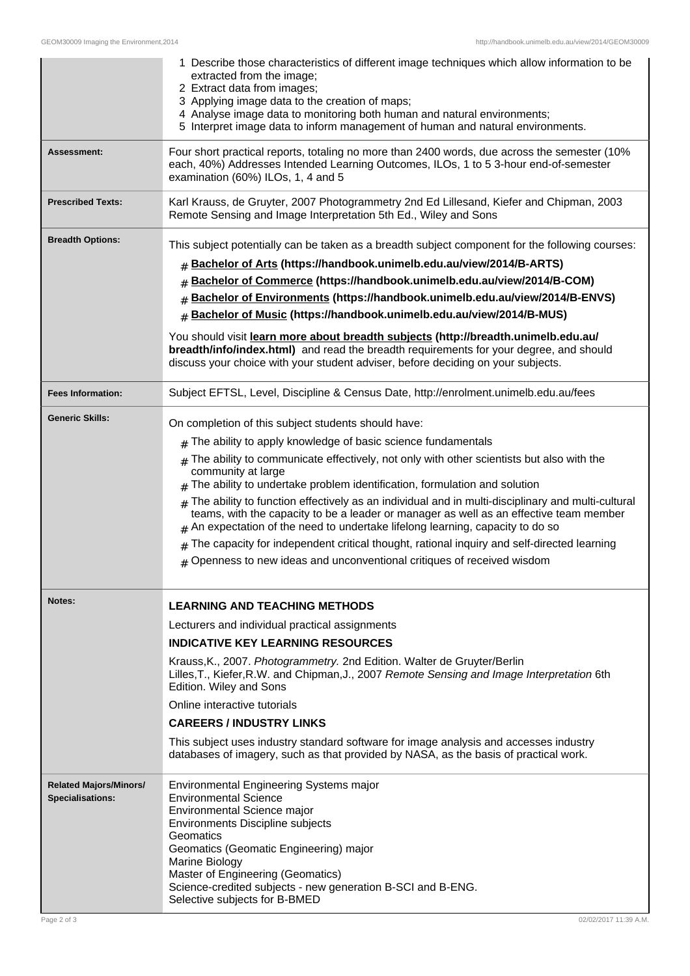|                                                                         | 1 Describe those characteristics of different image techniques which allow information to be<br>extracted from the image;<br>2 Extract data from images;<br>3 Applying image data to the creation of maps;<br>4 Analyse image data to monitoring both human and natural environments;<br>5 Interpret image data to inform management of human and natural environments.                                                                                                                                                                                                                                                                                                                                                                                                                |
|-------------------------------------------------------------------------|----------------------------------------------------------------------------------------------------------------------------------------------------------------------------------------------------------------------------------------------------------------------------------------------------------------------------------------------------------------------------------------------------------------------------------------------------------------------------------------------------------------------------------------------------------------------------------------------------------------------------------------------------------------------------------------------------------------------------------------------------------------------------------------|
| Assessment:                                                             | Four short practical reports, totaling no more than 2400 words, due across the semester (10%<br>each, 40%) Addresses Intended Learning Outcomes, ILOs, 1 to 5 3-hour end-of-semester<br>examination (60%) ILOs, 1, 4 and 5                                                                                                                                                                                                                                                                                                                                                                                                                                                                                                                                                             |
| <b>Prescribed Texts:</b>                                                | Karl Krauss, de Gruyter, 2007 Photogrammetry 2nd Ed Lillesand, Kiefer and Chipman, 2003<br>Remote Sensing and Image Interpretation 5th Ed., Wiley and Sons                                                                                                                                                                                                                                                                                                                                                                                                                                                                                                                                                                                                                             |
| <b>Breadth Options:</b>                                                 | This subject potentially can be taken as a breadth subject component for the following courses:<br>Bachelor of Arts (https://handbook.unimelb.edu.au/view/2014/B-ARTS)<br>#<br>Bachelor of Commerce (https://handbook.unimelb.edu.au/view/2014/B-COM)<br>#<br>Bachelor of Environments (https://handbook.unimelb.edu.au/view/2014/B-ENVS)<br>#<br>Bachelor of Music (https://handbook.unimelb.edu.au/view/2014/B-MUS)<br>#<br>You should visit learn more about breadth subjects (http://breadth.unimelb.edu.au/<br>breadth/info/index.html) and read the breadth requirements for your degree, and should<br>discuss your choice with your student adviser, before deciding on your subjects.                                                                                         |
| <b>Fees Information:</b>                                                | Subject EFTSL, Level, Discipline & Census Date, http://enrolment.unimelb.edu.au/fees                                                                                                                                                                                                                                                                                                                                                                                                                                                                                                                                                                                                                                                                                                   |
| <b>Generic Skills:</b>                                                  | On completion of this subject students should have:<br>$#$ The ability to apply knowledge of basic science fundamentals<br>The ability to communicate effectively, not only with other scientists but also with the<br>#<br>community at large<br>The ability to undertake problem identification, formulation and solution<br>#<br>The ability to function effectively as an individual and in multi-disciplinary and multi-cultural<br>teams, with the capacity to be a leader or manager as well as an effective team member<br>An expectation of the need to undertake lifelong learning, capacity to do so<br>The capacity for independent critical thought, rational inquiry and self-directed learning<br>Openness to new ideas and unconventional critiques of received wisdom |
| Notes:                                                                  | <b>LEARNING AND TEACHING METHODS</b><br>Lecturers and individual practical assignments<br><b>INDICATIVE KEY LEARNING RESOURCES</b><br>Krauss, K., 2007. Photogrammetry. 2nd Edition. Walter de Gruyter/Berlin<br>Lilles, T., Kiefer, R.W. and Chipman, J., 2007 Remote Sensing and Image Interpretation 6th<br>Edition. Wiley and Sons<br>Online interactive tutorials<br><b>CAREERS / INDUSTRY LINKS</b><br>This subject uses industry standard software for image analysis and accesses industry<br>databases of imagery, such as that provided by NASA, as the basis of practical work.                                                                                                                                                                                             |
| <b>Related Majors/Minors/</b><br><b>Specialisations:</b><br>Page 2 of 3 | Environmental Engineering Systems major<br><b>Environmental Science</b><br>Environmental Science major<br>Environments Discipline subjects<br>Geomatics<br>Geomatics (Geomatic Engineering) major<br>Marine Biology<br>Master of Engineering (Geomatics)<br>Science-credited subjects - new generation B-SCI and B-ENG.<br>Selective subjects for B-BMED<br>02/02/2017 11:39 A.M.                                                                                                                                                                                                                                                                                                                                                                                                      |